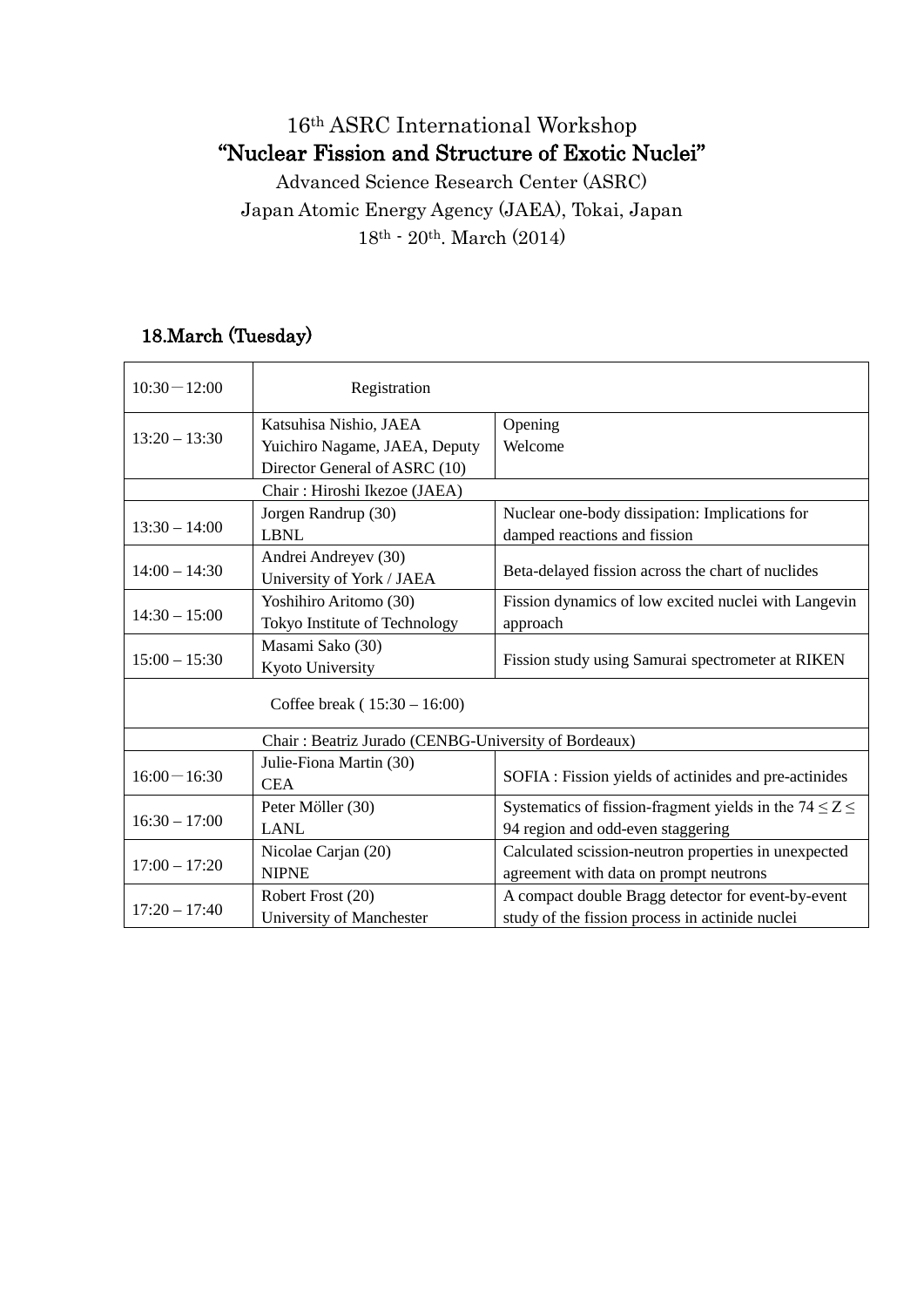## 16th ASRC International Workshop "Nuclear Fission and Structure of Exotic Nuclei"

Advanced Science Research Center (ASRC) Japan Atomic Energy Agency (JAEA), Tokai, Japan 18th - 20th. March (2014)

## 18.March (Tuesday)

| $10:30 - 12:00$                                      | Registration                  |                                                              |  |  |
|------------------------------------------------------|-------------------------------|--------------------------------------------------------------|--|--|
| $13:20 - 13:30$                                      | Katsuhisa Nishio, JAEA        | Opening                                                      |  |  |
|                                                      | Yuichiro Nagame, JAEA, Deputy | Welcome                                                      |  |  |
|                                                      | Director General of ASRC (10) |                                                              |  |  |
| Chair: Hiroshi Ikezoe (JAEA)                         |                               |                                                              |  |  |
| $13:30 - 14:00$                                      | Jorgen Randrup (30)           | Nuclear one-body dissipation: Implications for               |  |  |
|                                                      | <b>LBNL</b>                   | damped reactions and fission                                 |  |  |
| $14:00 - 14:30$                                      | Andrei Andreyev (30)          |                                                              |  |  |
|                                                      | University of York / JAEA     | Beta-delayed fission across the chart of nuclides            |  |  |
| $14:30 - 15:00$                                      | Yoshihiro Aritomo (30)        | Fission dynamics of low excited nuclei with Langevin         |  |  |
|                                                      | Tokyo Institute of Technology | approach                                                     |  |  |
| $15:00 - 15:30$                                      | Masami Sako (30)              |                                                              |  |  |
|                                                      | Kyoto University              | Fission study using Samurai spectrometer at RIKEN            |  |  |
| Coffee break $(15:30 - 16:00)$                       |                               |                                                              |  |  |
| Chair: Beatriz Jurado (CENBG-University of Bordeaux) |                               |                                                              |  |  |
| $16:00 - 16:30$                                      | Julie-Fiona Martin (30)       |                                                              |  |  |
|                                                      | <b>CEA</b>                    | SOFIA : Fission yields of actinides and pre-actinides        |  |  |
| $16:30 - 17:00$                                      | Peter Möller (30)             | Systematics of fission-fragment yields in the $74 \le Z \le$ |  |  |
|                                                      | <b>LANL</b>                   | 94 region and odd-even staggering                            |  |  |
| $17:00 - 17:20$                                      | Nicolae Carjan (20)           | Calculated scission-neutron properties in unexpected         |  |  |
|                                                      | <b>NIPNE</b>                  | agreement with data on prompt neutrons                       |  |  |
| $17:20 - 17:40$                                      | Robert Frost (20)             | A compact double Bragg detector for event-by-event           |  |  |
|                                                      | University of Manchester      | study of the fission process in actinide nuclei              |  |  |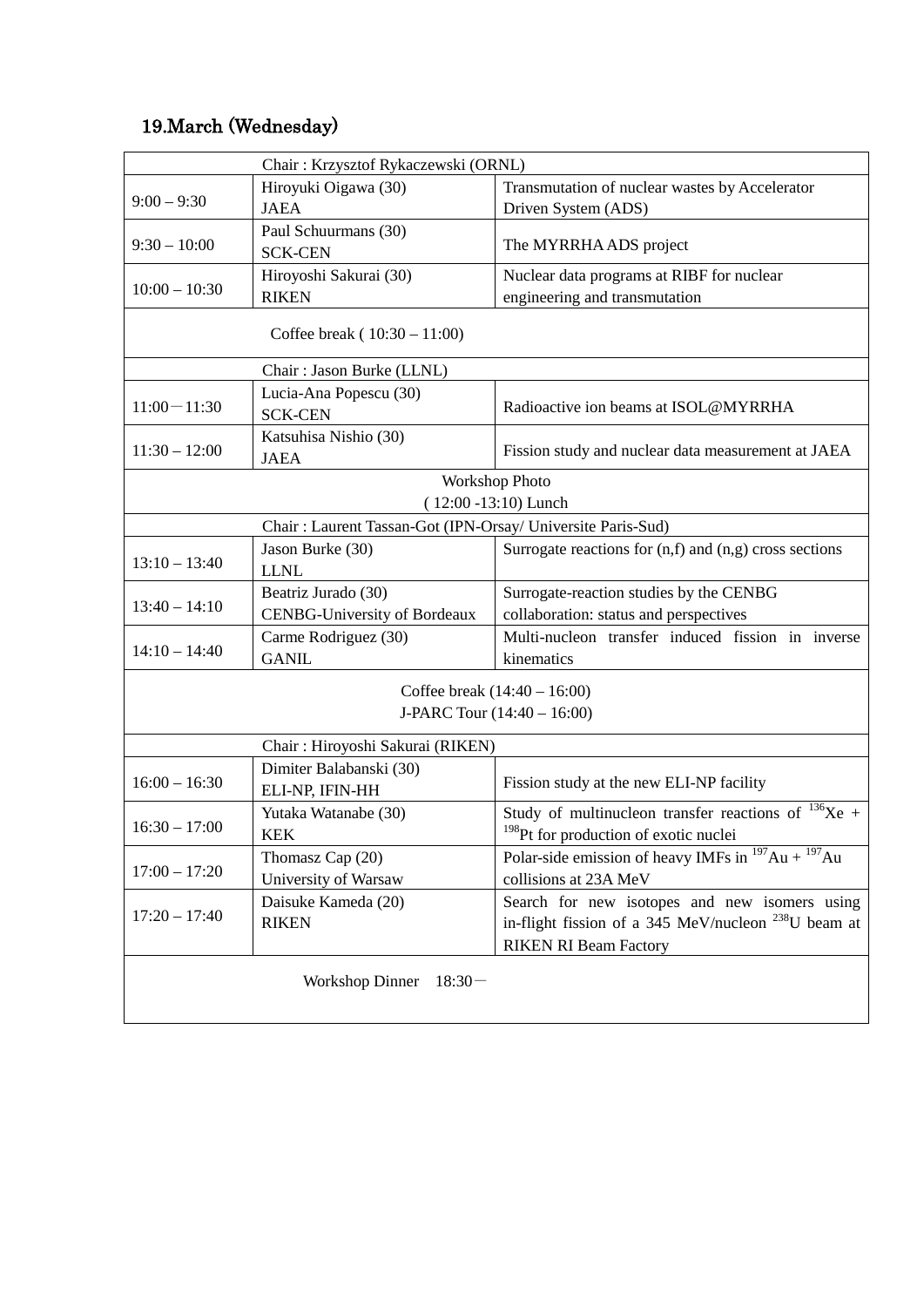## 19.March (Wednesday)

| Chair: Krzysztof Rykaczewski (ORNL) |                                                             |                                                                                                               |  |  |
|-------------------------------------|-------------------------------------------------------------|---------------------------------------------------------------------------------------------------------------|--|--|
|                                     | Hiroyuki Oigawa (30)                                        | Transmutation of nuclear wastes by Accelerator                                                                |  |  |
| $9:00 - 9:30$                       | <b>JAEA</b>                                                 | Driven System (ADS)                                                                                           |  |  |
| $9:30 - 10:00$                      | Paul Schuurmans (30)<br><b>SCK-CEN</b>                      | The MYRRHA ADS project                                                                                        |  |  |
| $10:00 - 10:30$                     | Hiroyoshi Sakurai (30)                                      | Nuclear data programs at RIBF for nuclear                                                                     |  |  |
|                                     | <b>RIKEN</b>                                                | engineering and transmutation                                                                                 |  |  |
| Coffee break $(10:30 - 11:00)$      |                                                             |                                                                                                               |  |  |
| Chair: Jason Burke (LLNL)           |                                                             |                                                                                                               |  |  |
| $11:00 - 11:30$                     | Lucia-Ana Popescu (30)<br><b>SCK-CEN</b>                    | Radioactive ion beams at ISOL@MYRRHA                                                                          |  |  |
| $11:30 - 12:00$                     | Katsuhisa Nishio (30)<br><b>JAEA</b>                        | Fission study and nuclear data measurement at JAEA                                                            |  |  |
| <b>Workshop Photo</b>               |                                                             |                                                                                                               |  |  |
|                                     |                                                             | $(12:00 - 13:10)$ Lunch                                                                                       |  |  |
|                                     | Chair: Laurent Tassan-Got (IPN-Orsay/ Universite Paris-Sud) |                                                                                                               |  |  |
|                                     | Jason Burke (30)                                            | Surrogate reactions for $(n,f)$ and $(n,g)$ cross sections                                                    |  |  |
| $13:10 - 13:40$                     | <b>LLNL</b>                                                 |                                                                                                               |  |  |
|                                     | Beatriz Jurado (30)                                         | Surrogate-reaction studies by the CENBG                                                                       |  |  |
| $13:40 - 14:10$                     | <b>CENBG-University of Bordeaux</b>                         | collaboration: status and perspectives                                                                        |  |  |
| $14:10 - 14:40$                     | Carme Rodriguez (30)                                        | Multi-nucleon transfer induced fission in inverse                                                             |  |  |
|                                     | <b>GANIL</b>                                                | kinematics                                                                                                    |  |  |
|                                     |                                                             | Coffee break $(14:40 - 16:00)$                                                                                |  |  |
|                                     |                                                             | J-PARC Tour (14:40 - 16:00)                                                                                   |  |  |
|                                     |                                                             |                                                                                                               |  |  |
| Chair: Hiroyoshi Sakurai (RIKEN)    |                                                             |                                                                                                               |  |  |
| $16:00 - 16:30$                     | Dimiter Balabanski (30)<br>ELI-NP, IFIN-HH                  | Fission study at the new ELI-NP facility                                                                      |  |  |
| $16:30 - 17:00$                     | Yutaka Watanabe (30)<br><b>KEK</b>                          | Study of multinucleon transfer reactions of $^{136}Xe$ +<br><sup>198</sup> Pt for production of exotic nuclei |  |  |
| $17:00 - 17:20$                     | Thomasz Cap (20)                                            | Polar-side emission of heavy IMFs in $^{197}$ Au + $^{197}$ Au                                                |  |  |
|                                     | University of Warsaw                                        | collisions at 23A MeV                                                                                         |  |  |
| $17:20 - 17:40$                     | Daisuke Kameda (20)                                         | Search for new isotopes and new isomers using                                                                 |  |  |
|                                     | <b>RIKEN</b>                                                | in-flight fission of a 345 MeV/nucleon $^{238}$ U beam at                                                     |  |  |
|                                     |                                                             | <b>RIKEN RI Beam Factory</b>                                                                                  |  |  |
| <b>Workshop Dinner</b><br>$18:30-$  |                                                             |                                                                                                               |  |  |
|                                     |                                                             |                                                                                                               |  |  |